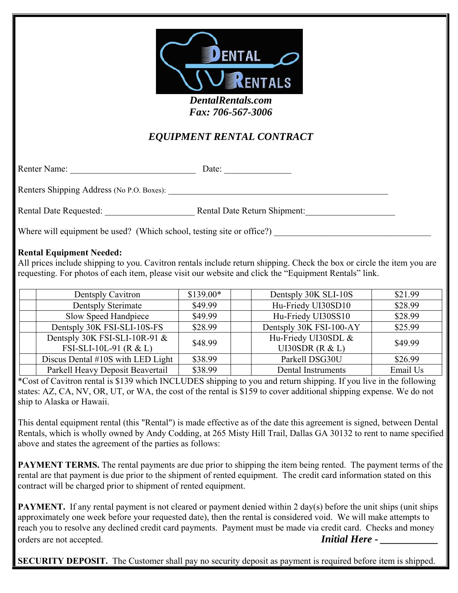

*Fax: 706-567-3006* 

## *EQUIPMENT RENTAL CONTRACT*

Renter Name: \_\_\_\_\_\_\_\_\_\_\_\_\_\_\_\_\_\_\_\_\_\_\_\_\_\_\_\_ Date: \_\_\_\_\_\_\_\_\_\_\_\_\_\_\_

Renters Shipping Address (No P.O. Boxes): \_\_\_\_\_\_\_\_\_\_\_\_\_\_\_\_\_\_\_\_\_\_\_\_\_\_\_\_\_\_\_\_\_\_\_\_\_\_\_\_\_\_\_\_\_\_\_\_\_

Rental Date Requested: \_\_\_\_\_\_\_\_\_\_\_\_\_\_\_\_\_\_\_\_ Rental Date Return Shipment:\_\_\_\_\_\_\_\_\_\_\_\_\_\_\_\_\_\_\_\_

Where will equipment be used? (Which school, testing site or office?)

## **Rental Equipment Needed:**

All prices include shipping to you. Cavitron rentals include return shipping. Check the box or circle the item you are requesting. For photos of each item, please visit our website and click the "Equipment Rentals" link.

| Dentsply Cavitron                 | $$139.00*$ | Dentsply 30K SLI-10S    | \$21.99  |
|-----------------------------------|------------|-------------------------|----------|
| Dentsply Sterimate                | \$49.99    | Hu-Friedy UI30SD10      | \$28.99  |
| Slow Speed Handpiece              | \$49.99    | Hu-Friedy UI30SS10      | \$28.99  |
| Dentsply 30K FSI-SLI-10S-FS       | \$28.99    | Dentsply 30K FSI-100-AY | \$25.99  |
| Dentsply 30K FSI-SLI-10R-91 &     | \$48.99    | Hu-Friedy UI30SDL &     | \$49.99  |
| FSI-SLI-10L-91 ( $R < L$ )        |            | UI30SDR $(R & L)$       |          |
| Discus Dental #10S with LED Light | \$38.99    | Parkell DSG30U          | \$26.99  |
| Parkell Heavy Deposit Beavertail  | \$38.99    | Dental Instruments      | Email Us |

\*Cost of Cavitron rental is \$139 which INCLUDES shipping to you and return shipping. If you live in the following states: AZ, CA, NV, OR, UT, or WA, the cost of the rental is \$159 to cover additional shipping expense. We do not ship to Alaska or Hawaii.

This dental equipment rental (this "Rental") is made effective as of the date this agreement is signed, between Dental Rentals, which is wholly owned by Andy Codding, at 265 Misty Hill Trail, Dallas GA 30132 to rent to name specified above and states the agreement of the parties as follows:

**PAYMENT TERMS.** The rental payments are due prior to shipping the item being rented. The payment terms of the rental are that payment is due prior to the shipment of rented equipment. The credit card information stated on this contract will be charged prior to shipment of rented equipment.

**PAYMENT.** If any rental payment is not cleared or payment denied within 2 day(s) before the unit ships (unit ships approximately one week before your requested date), then the rental is considered void. We will make attempts to reach you to resolve any declined credit card payments. Payment must be made via credit card. Checks and money orders are not accepted. *Initial Here -*

**SECURITY DEPOSIT.** The Customer shall pay no security deposit as payment is required before item is shipped.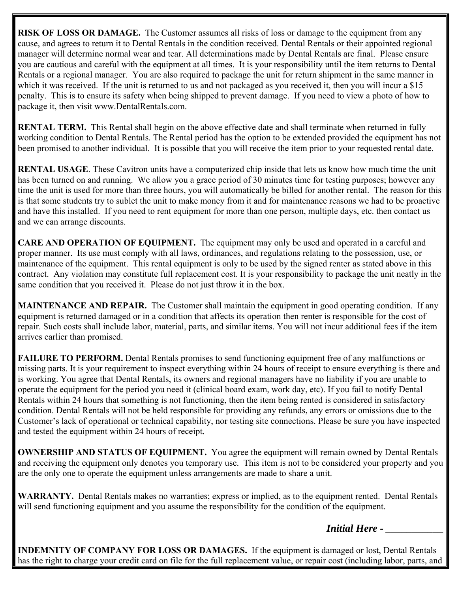**RISK OF LOSS OR DAMAGE.** The Customer assumes all risks of loss or damage to the equipment from any cause, and agrees to return it to Dental Rentals in the condition received. Dental Rentals or their appointed regional manager will determine normal wear and tear. All determinations made by Dental Rentals are final. Please ensure you are cautious and careful with the equipment at all times. It is your responsibility until the item returns to Dental Rentals or a regional manager. You are also required to package the unit for return shipment in the same manner in which it was received. If the unit is returned to us and not packaged as you received it, then you will incur a \$15 penalty. This is to ensure its safety when being shipped to prevent damage. If you need to view a photo of how to package it, then visit www.DentalRentals.com.

**RENTAL TERM.** This Rental shall begin on the above effective date and shall terminate when returned in fully working condition to Dental Rentals. The Rental period has the option to be extended provided the equipment has not been promised to another individual. It is possible that you will receive the item prior to your requested rental date.

**RENTAL USAGE**. These Cavitron units have a computerized chip inside that lets us know how much time the unit has been turned on and running. We allow you a grace period of 30 minutes time for testing purposes; however any time the unit is used for more than three hours, you will automatically be billed for another rental. The reason for this is that some students try to sublet the unit to make money from it and for maintenance reasons we had to be proactive and have this installed. If you need to rent equipment for more than one person, multiple days, etc. then contact us and we can arrange discounts.

**CARE AND OPERATION OF EQUIPMENT.** The equipment may only be used and operated in a careful and proper manner. Its use must comply with all laws, ordinances, and regulations relating to the possession, use, or maintenance of the equipment. This rental equipment is only to be used by the signed renter as stated above in this contract. Any violation may constitute full replacement cost. It is your responsibility to package the unit neatly in the same condition that you received it. Please do not just throw it in the box.

**MAINTENANCE AND REPAIR.** The Customer shall maintain the equipment in good operating condition. If any equipment is returned damaged or in a condition that affects its operation then renter is responsible for the cost of repair. Such costs shall include labor, material, parts, and similar items. You will not incur additional fees if the item arrives earlier than promised.

**FAILURE TO PERFORM.** Dental Rentals promises to send functioning equipment free of any malfunctions or missing parts. It is your requirement to inspect everything within 24 hours of receipt to ensure everything is there and is working. You agree that Dental Rentals, its owners and regional managers have no liability if you are unable to operate the equipment for the period you need it (clinical board exam, work day, etc). If you fail to notify Dental Rentals within 24 hours that something is not functioning, then the item being rented is considered in satisfactory condition. Dental Rentals will not be held responsible for providing any refunds, any errors or omissions due to the Customer's lack of operational or technical capability, nor testing site connections. Please be sure you have inspected and tested the equipment within 24 hours of receipt.

**OWNERSHIP AND STATUS OF EQUIPMENT.** You agree the equipment will remain owned by Dental Rentals and receiving the equipment only denotes you temporary use. This item is not to be considered your property and you are the only one to operate the equipment unless arrangements are made to share a unit.

**WARRANTY.** Dental Rentals makes no warranties; express or implied, as to the equipment rented. Dental Rentals will send functioning equipment and you assume the responsibility for the condition of the equipment.

*Initial Here - \_\_\_\_\_\_\_\_\_\_\_*

**INDEMNITY OF COMPANY FOR LOSS OR DAMAGES.** If the equipment is damaged or lost, Dental Rentals has the right to charge your credit card on file for the full replacement value, or repair cost (including labor, parts, and